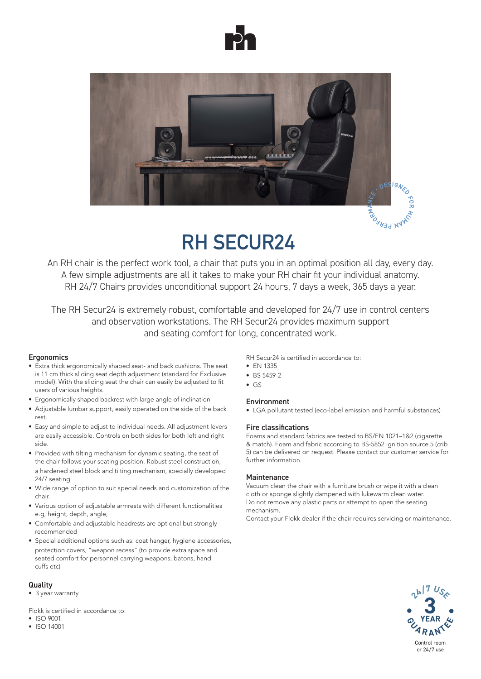



# **RH SECUR24**

An RH chair is the perfect work tool, a chair that puts you in an optimal position all day, every day. A few simple adjustments are all it takes to make your RH chair fit your individual anatomy. RH 24/7 Chairs provides unconditional support 24 hours, 7 days a week, 365 days a year.

The RH Secur24 is extremely robust, comfortable and developed for 24/7 use in control centers and observation workstations. The RH Secur24 provides maximum support and seating comfort for long, concentrated work.

#### **Ergonomics**

- Extra thick ergonomically shaped seat- and back cushions. The seat is 11 cm thick sliding seat depth adjustment (standard for Exclusive model). With the sliding seat the chair can easily be adjusted to fit users of various heights.
- Ergonomically shaped backrest with large angle of inclination
- Adjustable lumbar support, easily operated on the side of the back rest.
- Easy and simple to adjust to individual needs. All adjustment levers are easily accessible. Controls on both sides for both left and right side.
- Provided with tilting mechanism for dynamic seating, the seat of the chair follows your seating position. Robust steel construction, a hardened steel block and tilting mechanism, specially developed 24/7 seating.
- Wide range of option to suit special needs and customization of the chair.
- Various option of adjustable armrests with different functionalities e.g, height, depth, angle,
- Comfortable and adjustable headrests are optional but strongly recommended
- Special additional options such as: coat hanger, hygiene accessories, protection covers, "weapon recess" (to provide extra space and seated comfort for personnel carrying weapons, batons, hand cuffs etc)

### **Quality**

• 3 year warranty

Flokk is certified in accordance to:

- ISO 9001
- ISO 14001

### RH Secur24 is certified in accordance to:

- EN 1335
- BS 5459-2
- $\bullet$  GS

### Environment

• LGA pollutant tested (eco-label emission and harmful substances)

#### Fire classifications

Foams and standard fabrics are tested to BS/EN 1021–1&2 (cigarette & match). Foam and fabric according to BS-5852 ignition source 5 (crib 5) can be delivered on request. Please contact our customer service for further information.

#### Maintenance

Vacuum clean the chair with a furniture brush or wipe it with a clean cloth or sponge slightly dampened with lukewarm clean water. Do not remove any plastic parts or attempt to open the seating mechanism.

Contact your Flokk dealer if the chair requires servicing or maintenance.